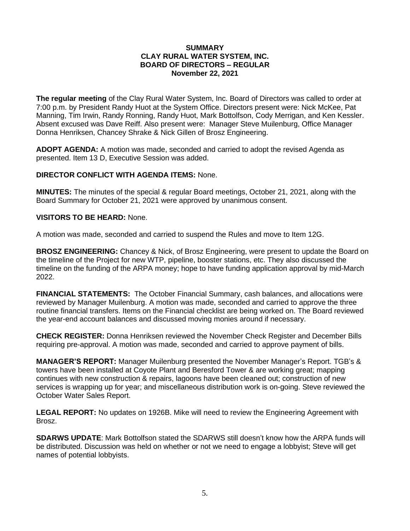#### **SUMMARY CLAY RURAL WATER SYSTEM, INC. BOARD OF DIRECTORS – REGULAR November 22, 2021**

**The regular meeting** of the Clay Rural Water System, Inc. Board of Directors was called to order at 7:00 p.m. by President Randy Huot at the System Office. Directors present were: Nick McKee, Pat Manning, Tim Irwin, Randy Ronning, Randy Huot, Mark Bottolfson, Cody Merrigan, and Ken Kessler. Absent excused was Dave Reiff. Also present were: Manager Steve Muilenburg, Office Manager Donna Henriksen, Chancey Shrake & Nick Gillen of Brosz Engineering.

**ADOPT AGENDA:** A motion was made, seconded and carried to adopt the revised Agenda as presented. Item 13 D, Executive Session was added.

## **DIRECTOR CONFLICT WITH AGENDA ITEMS:** None.

**MINUTES:** The minutes of the special & regular Board meetings, October 21, 2021, along with the Board Summary for October 21, 2021 were approved by unanimous consent.

# **VISITORS TO BE HEARD:** None.

A motion was made, seconded and carried to suspend the Rules and move to Item 12G.

**BROSZ ENGINEERING:** Chancey & Nick, of Brosz Engineering, were present to update the Board on the timeline of the Project for new WTP, pipeline, booster stations, etc. They also discussed the timeline on the funding of the ARPA money; hope to have funding application approval by mid-March 2022.

**FINANCIAL STATEMENTS:** The October Financial Summary, cash balances, and allocations were reviewed by Manager Muilenburg. A motion was made, seconded and carried to approve the three routine financial transfers. Items on the Financial checklist are being worked on. The Board reviewed the year-end account balances and discussed moving monies around if necessary.

**CHECK REGISTER:** Donna Henriksen reviewed the November Check Register and December Bills requiring pre-approval. A motion was made, seconded and carried to approve payment of bills.

**MANAGER'S REPORT:** Manager Muilenburg presented the November Manager's Report. TGB's & towers have been installed at Coyote Plant and Beresford Tower & are working great; mapping continues with new construction & repairs, lagoons have been cleaned out; construction of new services is wrapping up for year; and miscellaneous distribution work is on-going. Steve reviewed the October Water Sales Report.

**LEGAL REPORT:** No updates on 1926B. Mike will need to review the Engineering Agreement with Brosz.

**SDARWS UPDATE**: Mark Bottolfson stated the SDARWS still doesn't know how the ARPA funds will be distributed. Discussion was held on whether or not we need to engage a lobbyist; Steve will get names of potential lobbyists.